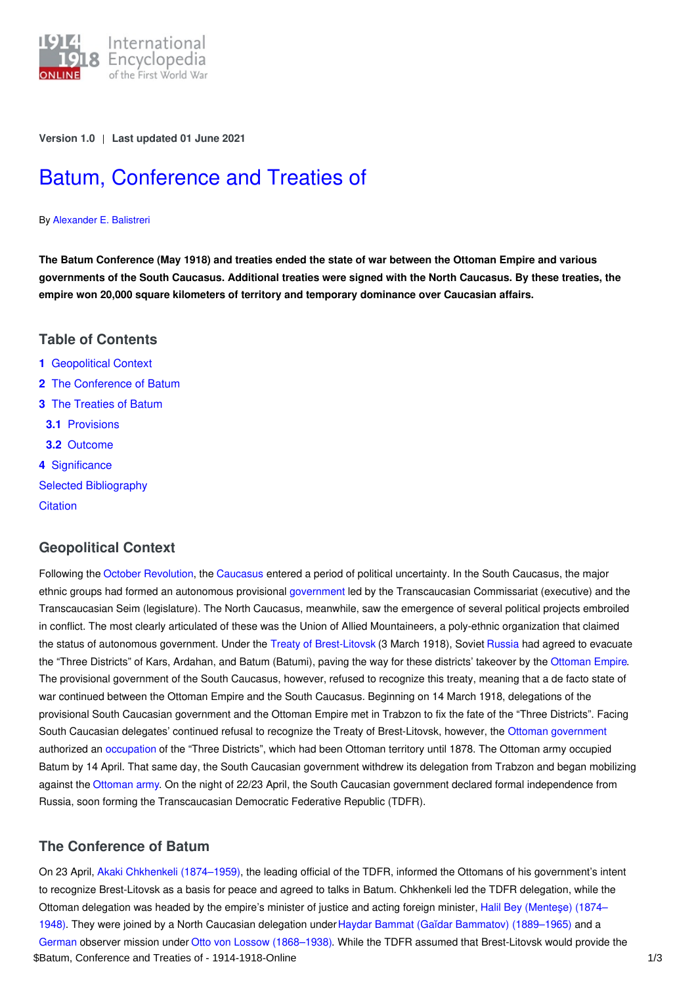

**Version 1.0** | **Last updated 01 June 2021**

# Batum, [Conference](https://encyclopedia.1914-1918-online.net/article/batum_conference_and_treaties_of) and Treaties of

#### By [Alexander](https://encyclopedia.1914-1918-online.net/contributors/Alexander_E._Balistreri) E. Balistreri

The Batum Conference (May 1918) and treaties ended the state of war between the Ottoman Empire and various governments of the South Caucasus. Additional treaties were signed with the North Caucasus. By these treaties, the **empire won 20,000 square kilometers of territory and temporary dominance over Caucasian affairs.**

# **Table of Contents**

- **1** [Geopolitical](#page-0-0) Context
- **2** The [Conference](#page-0-1) of Batum
- **3** The [Treaties](#page-1-0) of Batum
- **3.1** [Provisions](#page-1-1)
- **3.2** [Outcome](#page-1-2)
- **4** [Significance](#page-1-3)
- Selected [Bibliography](#page-2-0)
- **[Citation](#page-2-1)**

# <span id="page-0-0"></span>**Geopolitical Context**

Following the October [Revolution](http://ui:CeDiS1418@encyclopedia.1914-1918-online.net/article/revolutions_russian_empire), the [Caucasus](http://ui:CeDiS1418@encyclopedia.1914-1918-online.net/article/caucasus_front) entered a period of political uncertainty. In the South Caucasus, the major ethnic groups had formed an autonomous provisional [government](http://ui:CeDiS1418@encyclopedia.1914-1918-online.net/article/governments_parliaments_and_parties) led by the Transcaucasian Commissariat (executive) and the Transcaucasian Seim (legislature). The North Caucasus, meanwhile, saw the emergence of several political projects embroiled in conflict. The most clearly articulated of these was the Union of Allied Mountaineers, a poly-ethnic organization that claimed the status of autonomous government. Under the Treaty of [Brest-Litovsk](http://ui:CeDiS1418@encyclopedia.1914-1918-online.net/article/brest-litovsk_treaty_of) (3 March 1918), Soviet [Russia](http://ui:CeDiS1418@encyclopedia.1914-1918-online.net/article/russian_empire) had agreed to evacuate the "Three Districts" of Kars, Ardahan, and Batum (Batumi), paving the way for these districts' takeover by the [Ottoman](http://ui:CeDiS1418@encyclopedia.1914-1918-online.net/article/ottoman_empiremiddle_east) Empire. The provisional government of the South Caucasus, however, refused to recognize this treaty, meaning that a de facto state of war continued between the Ottoman Empire and the South Caucasus. Beginning on 14 March 1918, delegations of the provisional South Caucasian government and the Ottoman Empire met in Trabzon to fix the fate of the "Three Districts". Facing South Caucasian delegates' continued refusal to recognize the Treaty of Brest-Litovsk, however, the Ottoman [government](http://ui:CeDiS1418@encyclopedia.1914-1918-online.net/article/governments_parliaments_and_parties_ottoman_empiremiddle_east) authorized an [occupation](http://ui:CeDiS1418@encyclopedia.1914-1918-online.net/article/occupation_during_and_after_the_war_russian_empire) of the "Three Districts", which had been Ottoman territory until 1878. The Ottoman army occupied Batum by 14 April. That same day, the South Caucasian government withdrew its delegation from Trabzon and began mobilizing against the [Ottoman](http://ui:CeDiS1418@encyclopedia.1914-1918-online.net/article/warfare_1914-1918_ottoman_empiremiddle_east) army. On the night of 22/23 April, the South Caucasian government declared formal independence from Russia, soon forming the Transcaucasian Democratic Federative Republic (TDFR).

# <span id="page-0-1"></span>**The Conference of Batum**

On 23 April, Akaki Chkhenkeli [\(1874–1959\)](http://ui:CeDiS1418@encyclopedia.1914-1918-online.net/index/names/1234190540), the leading official of the TDFR, informed the Ottomans of his government's intent to recognize Brest-Litovsk as a basis for peace and agreed to talks in Batum. Chkhenkeli led the TDFR delegation, while the Ottoman delegation was headed by the empire's minister of justice and acting foreign minister, Halil Bey (Menteşe) (1874– 1948). They were joined by a North Caucasian delegation [underHaydar](http://ui:CeDiS1418@encyclopedia.1914-1918-online.net/index/names/112299284X) Bammat (Gaĭdar Bammatov) [\(1889–1965\)](http://ui:CeDiS1418@encyclopedia.1914-1918-online.net/index/names/1014876044) and a [German](http://ui:CeDiS1418@encyclopedia.1914-1918-online.net/article/germany) observer mission under Otto von Lossow [\(1868–1938\).](http://ui:CeDiS1418@encyclopedia.1914-1918-online.net/index/names/128549769) While the TDFR assumed that Brest-Litovsk would provide the \$Batum, Conference and Treaties of - 1914-1918-Online 1/3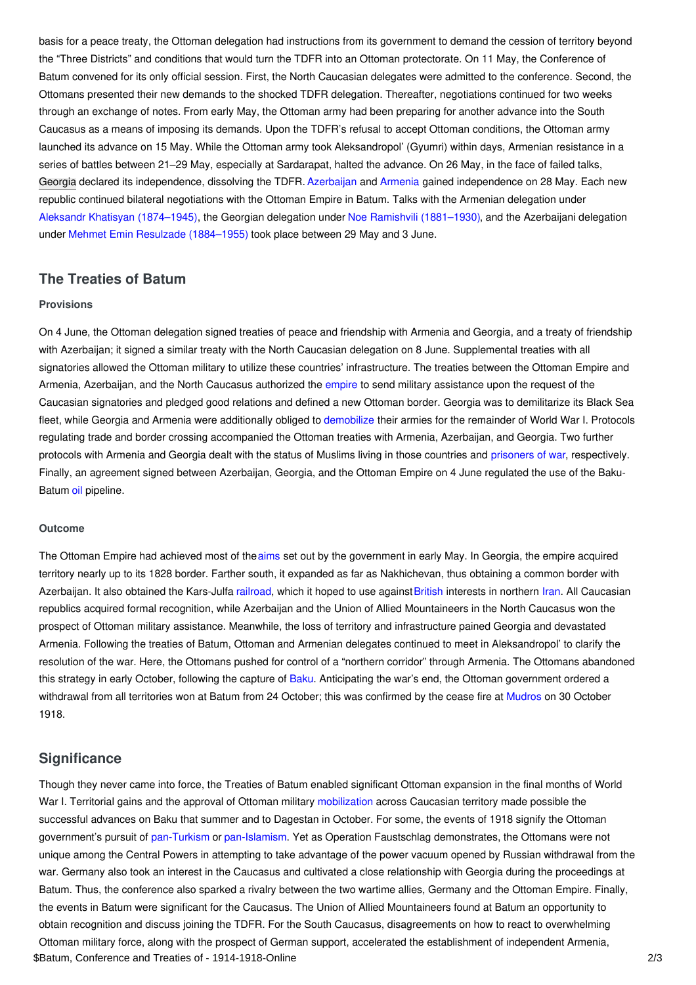basis for a peace treaty, the Ottoman delegation had instructions from its government to demand the cession of territory beyond the "Three Districts" and conditions that would turn the TDFR into an Ottoman protectorate. On 11 May, the Conference of Batum convened for its only official session. First, the North Caucasian delegates were admitted to the conference. Second, the Ottomans presented their new demands to the shocked TDFR delegation. Thereafter, negotiations continued for two weeks through an exchange of notes. From early May, the Ottoman army had been preparing for another advance into the South Caucasus as a means of imposing its demands. Upon the TDFR's refusal to accept Ottoman conditions, the Ottoman army launched its advance on 15 May. While the Ottoman army took Aleksandropol' (Gyumri) within days, Armenian resistance in a series of battles between 21–29 May, especially at Sardarapat, halted the advance. On 26 May, in the face of failed talks, [Georgia](http://ui:CeDiS1418@encyclopedia.1914-1918-online.net/article/georgia) declared its independence, dissolving the TDFR. [Azerbaijan](http://ui:CeDiS1418@encyclopedia.1914-1918-online.net/article/azerbaijan) and [Armenia](http://ui:CeDiS1418@encyclopedia.1914-1918-online.net/article/armenia) gained independence on 28 May. Each new republic continued bilateral negotiations with the Ottoman Empire in Batum. Talks with the Armenian delegation under Aleksandr Khatisyan [\(1874–1945\)](http://ui:CeDiS1418@encyclopedia.1914-1918-online.net/index/names/140151028), the Georgian delegation under Noe Ramishvili [\(1881–1930\)](http://ui:CeDiS1418@encyclopedia.1914-1918-online.net/index/names/1159218242), and the Azerbaijani delegation under Mehmet Emin Resulzade [\(1884–1955\)](http://ui:CeDiS1418@encyclopedia.1914-1918-online.net/index/names/124941982) took place between 29 May and 3 June.

# <span id="page-1-0"></span>**The Treaties of Batum**

## <span id="page-1-1"></span>**Provisions**

On 4 June, the Ottoman delegation signed treaties of peace and friendship with Armenia and Georgia, and a treaty of friendship with Azerbaijan; it signed a similar treaty with the North Caucasian delegation on 8 June. Supplemental treaties with all signatories allowed the Ottoman military to utilize these countries' infrastructure. The treaties between the Ottoman Empire and Armenia, Azerbaijan, and the North Caucasus authorized the [empire](http://ui:CeDiS1418@encyclopedia.1914-1918-online.net/article/empire) to send military assistance upon the request of the Caucasian signatories and pledged good relations and defined a new Ottoman border. Georgia was to demilitarize its Black Sea fleet, while Georgia and Armenia were additionally obliged to [demobilize](http://ui:CeDiS1418@encyclopedia.1914-1918-online.net/article/demobilization) their armies for the remainder of World War I. Protocols regulating trade and border crossing accompanied the Ottoman treaties with Armenia, Azerbaijan, and Georgia. Two further protocols with Armenia and Georgia dealt with the status of Muslims living in those countries and [prisoners](http://ui:CeDiS1418@encyclopedia.1914-1918-online.net/article/prisoners_of_war_ottoman_empiremiddle_east) of war, respectively. Finally, an agreement signed between Azerbaijan, Georgia, and the Ottoman Empire on 4 June regulated the use of the BakuBatum [oil](http://ui:CeDiS1418@encyclopedia.1914-1918-online.net/article/petroleum) pipeline.

#### <span id="page-1-2"></span>**Outcome**

The Ottoman Empire had achieved most of the[aims](http://ui:CeDiS1418@encyclopedia.1914-1918-online.net/article/war_aims_and_war_aims_discussions_ottoman_empire) set out by the government in early May. In Georgia, the empire acquired territory nearly up to its 1828 border. Farther south, it expanded as far as Nakhichevan, thus obtaining a common border with Azerbaijan. It also obtained the Kars-Julfa [railroad,](http://ui:CeDiS1418@encyclopedia.1914-1918-online.net/article/transportation_and_logistics) which it hoped to use against [British](http://ui:CeDiS1418@encyclopedia.1914-1918-online.net/article/great_britain) interests in northern [Iran](http://ui:CeDiS1418@encyclopedia.1914-1918-online.net/article/persiairan). All Caucasian republics acquired formal recognition, while Azerbaijan and the Union of Allied Mountaineers in the North Caucasus won the prospect of Ottoman military assistance. Meanwhile, the loss of territory and infrastructure pained Georgia and devastated Armenia. Following the treaties of Batum, Ottoman and Armenian delegates continued to meet in Aleksandropol' to clarify the resolution of the war. Here, the Ottomans pushed for control of a "northern corridor" through Armenia. The Ottomans abandoned this strategy in early October, following the capture of [Baku.](http://ui:CeDiS1418@encyclopedia.1914-1918-online.net/article/baku_battle_of) Anticipating the war's end, the Ottoman government ordered a withdrawal from all territories won at Batum from 24 October; this was confirmed by the cease fire at [Mudros](http://ui:CeDiS1418@encyclopedia.1914-1918-online.net/article/mudros_armistice_of) on 30 October 1918.

## <span id="page-1-3"></span>**Significance**

Though they never came into force, the Treaties of Batum enabled significant Ottoman expansion in the final months of World War I. Territorial gains and the approval of Ottoman military [mobilization](http://ui:CeDiS1418@encyclopedia.1914-1918-online.net/article/mobilization_ottoman_empiremiddle_east) across Caucasian territory made possible the successful advances on Baku that summer and to Dagestan in October. For some, the events of 1918 signify the Ottoman government's pursuit of [pan-Turkism](http://ui:CeDiS1418@encyclopedia.1914-1918-online.net/article/panturkism) or [pan-Islamism](http://ui:CeDiS1418@encyclopedia.1914-1918-online.net/article/pan-islamism_ottoman_empire). Yet as Operation Faustschlag demonstrates, the Ottomans were not unique among the Central Powers in attempting to take advantage of the power vacuum opened by Russian withdrawal from the war. Germany also took an interest in the Caucasus and cultivated a close relationship with Georgia during the proceedings at Batum. Thus, the conference also sparked a rivalry between the two wartime allies, Germany and the Ottoman Empire. Finally, the events in Batum were significant for the Caucasus. The Union of Allied Mountaineers found at Batum an opportunity to obtain recognition and discuss joining the TDFR. For the South Caucasus, disagreements on how to react to overwhelming Ottoman military force, along with the prospect of German support, accelerated the establishment of independent Armenia, \$Batum, Conference and Treaties of - 1914-1918-Online 2/3